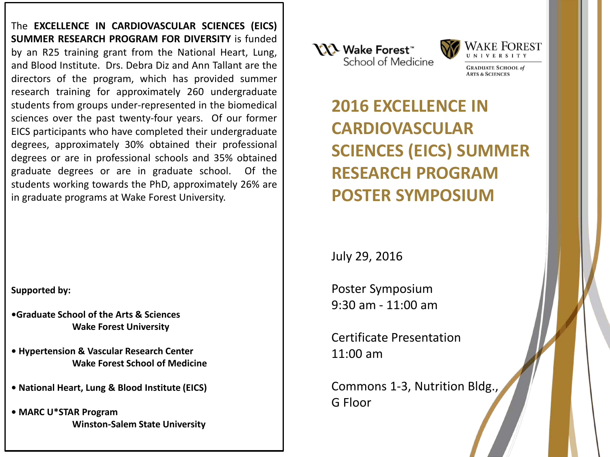The **EXCELLENCE IN CARDIOVASCULAR SCIENCES (EICS) SUMMER RESEARCH PROGRAM FOR DIVERSITY** is funded by an R25 training grant from the National Heart, Lung, and Blood Institute. Drs. Debra Diz and Ann Tallant are the directors of the program, which has provided summer research training for approximately 260 undergraduate students from groups under-represented in the biomedical sciences over the past twenty-four years. Of our former EICS participants who have completed their undergraduate degrees, approximately 30% obtained their professional degrees or are in professional schools and 35% obtained graduate degrees or are in graduate school. Of the students working towards the PhD, approximately 26% are in graduate programs at Wake Forest University.

**Supported by:**

**•Graduate School of the Arts & Sciences Wake Forest University**

- **Hypertension & Vascular Research Center Wake Forest School of Medicine**
- **National Heart, Lung & Blood Institute (EICS)**
- **MARC U\*STAR Program Winston-Salem State University**





**GRADUATE SCHOOL RTS & SCIENCES** 

**2016 EXCELLENCE IN CARDIOVASCULAR SCIENCES (EICS) SUMMER RESEARCH PROGRAM POSTER SYMPOSIUM** 

July 29, 2016

Poster Symposium 9:30 am - 11:00 am

Certificate Presentation 11:00 am

Commons 1-3, Nutrition Bldg., G Floor